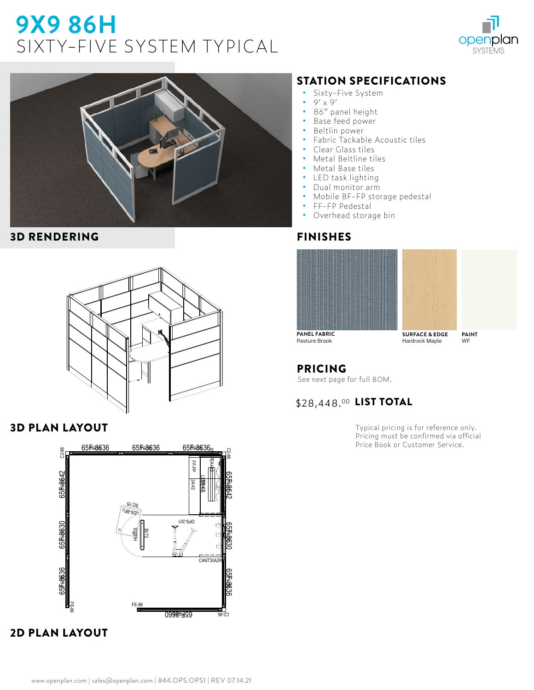# **9X9 86H**  SIXTY-FIVE SYSTEM TYPICAL





#### 3D RENDERING



#### 3D PLAN LAYOUT



## 2D PLAN LAYOUT

## STATION SPECIFICATIONS

- Sixty-Five System<br>• 9' x 9'
- $9' \times 9'$ <br>• 86" pa
- **•** 86" panel height
- **•** Base feed power
- **•** Beltlin power
- **•** Fabric Tackable Acoustic tiles
- **•** Clear Glass tiles
- **•** Metal Beltline tiles
- **•** Metal Base tiles
- **•** LED task lighting
- **•** Dual monitor arm
- **•** Mobile BF-FP storage pedestal
- **•** FF-FP Pedestal
- **•** Overhead storage bin

#### FINISHES





Pasture Brook

**SURFACE & EDGE** Hardrock Maple

**PAINT** WF

#### PRICING

See next page for full BOM.

## \$28,448.00 LIST TOTAL

Typical pricing is for reference only. Pricing must be confirmed via official Price Book or Customer Service.